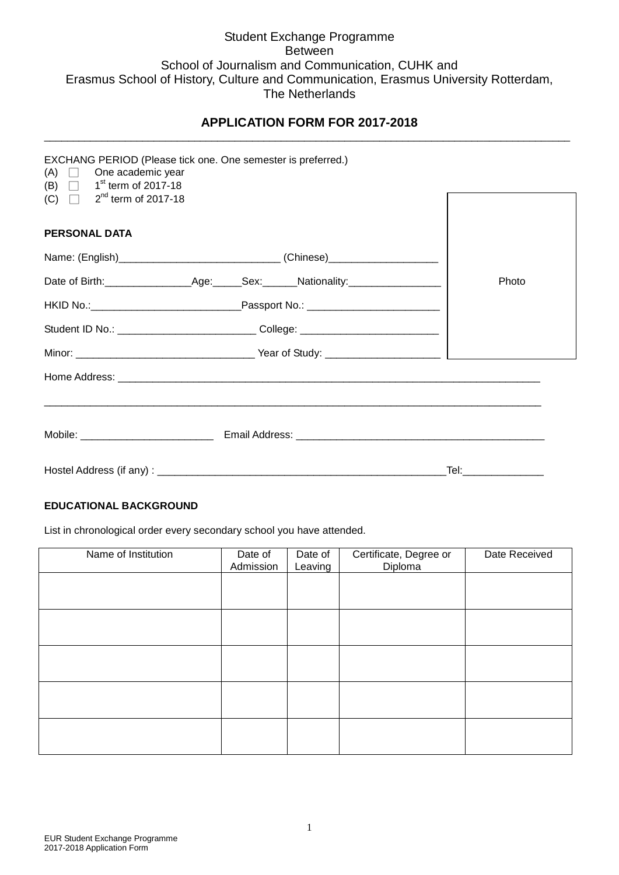# Student Exchange Programme Between School of Journalism and Communication, CUHK and Erasmus School of History, Culture and Communication, Erasmus University Rotterdam, The Netherlands

### **APPLICATION FORM FOR 2017-2018** \_\_\_\_\_\_\_\_\_\_\_\_\_\_\_\_\_\_\_\_\_\_\_\_\_\_\_\_\_\_\_\_\_\_\_\_\_\_\_\_\_\_\_\_\_\_\_\_\_\_\_\_\_\_\_\_\_\_\_\_\_\_\_\_\_\_\_\_\_\_\_\_\_\_\_\_\_\_\_\_\_\_\_\_\_\_\_\_\_\_\_

| $(A)$ $\Box$ One academic year<br>(B) $\Box$ 1 <sup>st</sup> term of 2017-18<br>(C) $\Box$ 2 <sup>nd</sup> term of 2017-18 | EXCHANG PERIOD (Please tick one. One semester is preferred.)                     |                       |
|----------------------------------------------------------------------------------------------------------------------------|----------------------------------------------------------------------------------|-----------------------|
| <b>PERSONAL DATA</b>                                                                                                       |                                                                                  |                       |
|                                                                                                                            | Name: (English)________________________________(Chinese)________________________ |                       |
|                                                                                                                            |                                                                                  | Photo                 |
|                                                                                                                            |                                                                                  |                       |
|                                                                                                                            | Student ID No.: _________________________________College: ______________________ |                       |
|                                                                                                                            |                                                                                  |                       |
|                                                                                                                            |                                                                                  |                       |
|                                                                                                                            |                                                                                  |                       |
|                                                                                                                            |                                                                                  | Tel:_________________ |

#### **EDUCATIONAL BACKGROUND**

List in chronological order every secondary school you have attended.

| Name of Institution | Date of<br>Admission | Date of<br>Leaving | Certificate, Degree or<br>Diploma | Date Received |
|---------------------|----------------------|--------------------|-----------------------------------|---------------|
|                     |                      |                    |                                   |               |
|                     |                      |                    |                                   |               |
|                     |                      |                    |                                   |               |
|                     |                      |                    |                                   |               |
|                     |                      |                    |                                   |               |
|                     |                      |                    |                                   |               |
|                     |                      |                    |                                   |               |
|                     |                      |                    |                                   |               |
|                     |                      |                    |                                   |               |
|                     |                      |                    |                                   |               |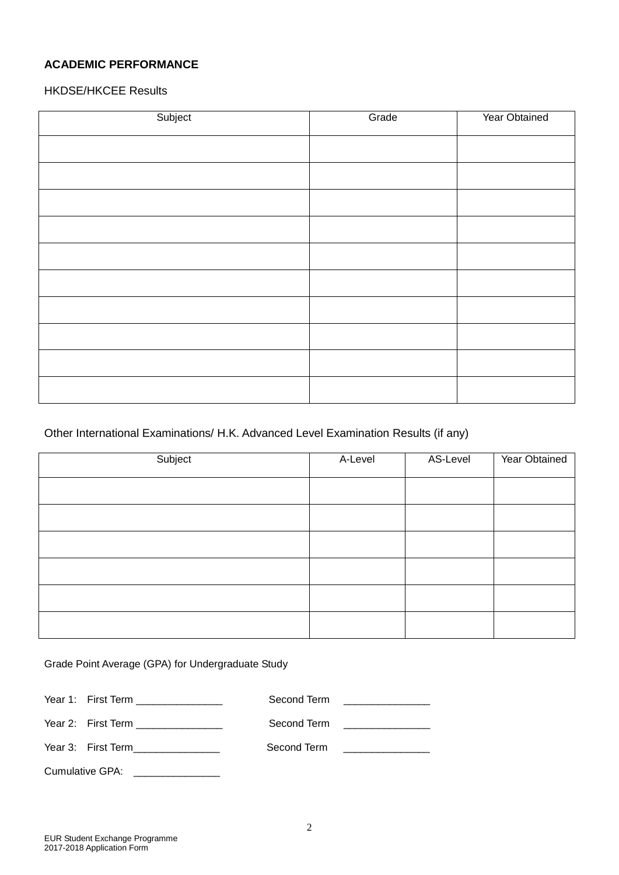# **ACADEMIC PERFORMANCE**

HKDSE/HKCEE Results

| Subject | Grade | Year Obtained |
|---------|-------|---------------|
|         |       |               |
|         |       |               |
|         |       |               |
|         |       |               |
|         |       |               |
|         |       |               |
|         |       |               |
|         |       |               |
|         |       |               |
|         |       |               |
|         |       |               |

# Other International Examinations/ H.K. Advanced Level Examination Results (if any)

| Subject | A-Level | AS-Level | Year Obtained |
|---------|---------|----------|---------------|
|         |         |          |               |
|         |         |          |               |
|         |         |          |               |
|         |         |          |               |
|         |         |          |               |
|         |         |          |               |

Grade Point Average (GPA) for Undergraduate Study

| Year 1: First Term ________________  | Second Term <u>______________</u> |
|--------------------------------------|-----------------------------------|
| Year 2: First Term _________________ | Second Term <u>______________</u> |
| Year 3: First Term________________   | Second Term <u>______________</u> |
| Cumulative GPA:                      |                                   |

EUR Student Exchange Programme 2017-2018 Application Form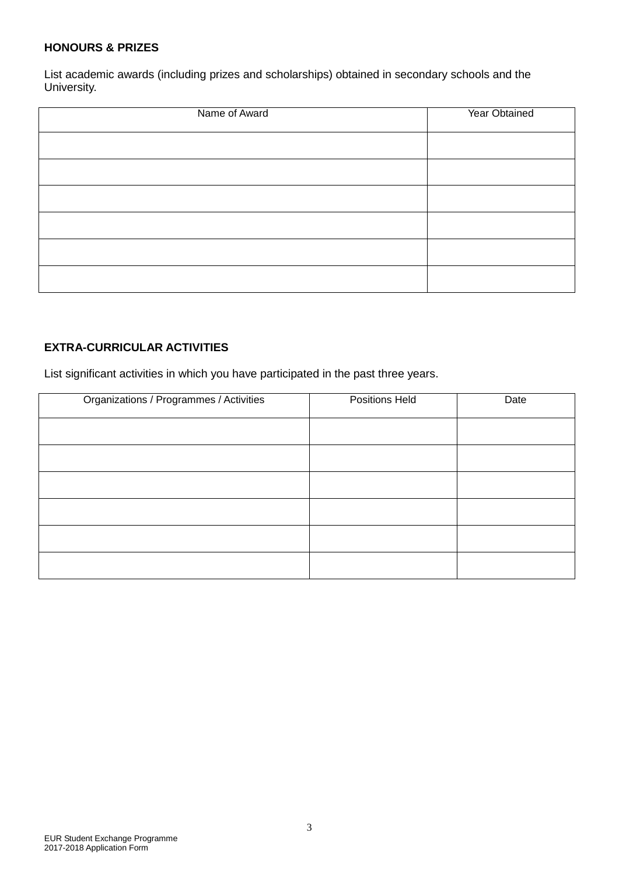## **HONOURS & PRIZES**

List academic awards (including prizes and scholarships) obtained in secondary schools and the University.

| Name of Award | Year Obtained |
|---------------|---------------|
|               |               |
|               |               |
|               |               |
|               |               |
|               |               |
|               |               |

# **EXTRA-CURRICULAR ACTIVITIES**

List significant activities in which you have participated in the past three years.

| Organizations / Programmes / Activities | Positions Held | Date |
|-----------------------------------------|----------------|------|
|                                         |                |      |
|                                         |                |      |
|                                         |                |      |
|                                         |                |      |
|                                         |                |      |
|                                         |                |      |